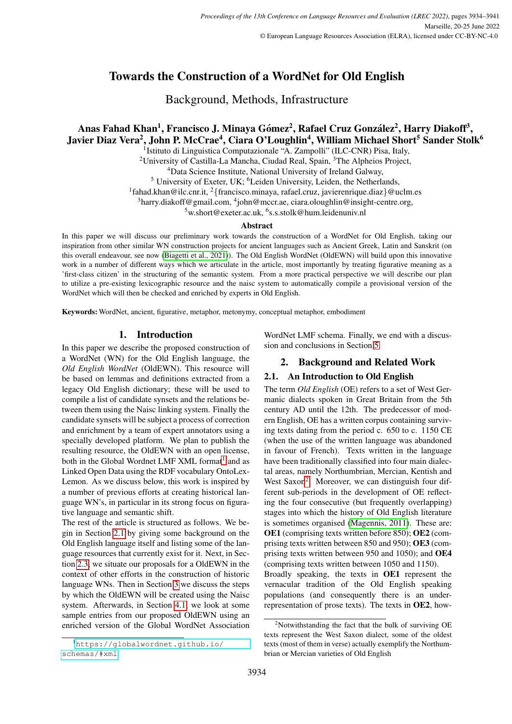# Towards the Construction of a WordNet for Old English

Background, Methods, Infrastructure

## Anas Fahad Khan<sup>1</sup>, Francisco J. Minaya Gómez<sup>2</sup>, Rafael Cruz González<sup>2</sup>, Harry Diakoff<sup>3</sup>, Javier Diaz Vera<sup>2</sup>, John P. McCrae<sup>4</sup>, Ciara O'Loughlin<sup>4</sup>, William Michael Short<sup>5</sup> Sander Stolk<sup>6</sup>

<sup>1</sup> Istituto di Linguistica Computazionale "A. Zampolli" (ILC-CNR) Pisa, Italy,

<sup>2</sup>University of Castilla-La Mancha, Ciudad Real, Spain,  ${}^{3}$ The Alpheios Project,

<sup>4</sup>Data Science Institute, National University of Ireland Galway,

<sup>5</sup> University of Exeter, UK; <sup>6</sup>Leiden University, Leiden, the Netherlands,

<sup>1</sup>fahad.khan@ilc.cnr.it, <sup>2</sup>{francisco.minaya, rafael.cruz, javierenrique.diaz}@uclm.es

<sup>3</sup>harry.diakoff@gmail.com, <sup>4</sup>john@mccr.ae, ciara.oloughlin@insight-centre.org,

<sup>5</sup>w.short@exeter.ac.uk, <sup>6</sup> s.s.stolk@hum.leidenuniv.nl

#### Abstract

In this paper we will discuss our preliminary work towards the construction of a WordNet for Old English, taking our inspiration from other similar WN construction projects for ancient languages such as Ancient Greek, Latin and Sanskrit (on this overall endeavour, see now [\(Biagetti et al., 2021\)](#page-6-0)). The Old English WordNet (OldEWN) will build upon this innovative work in a number of different ways which we articulate in the article, most importantly by treating figurative meaning as a 'first-class citizen' in the structuring of the semantic system. From a more practical perspective we will describe our plan to utilize a pre-existing lexicographic resource and the naisc system to automatically compile a provisional version of the WordNet which will then be checked and enriched by experts in Old English.

Keywords: WordNet, ancient, figurative, metaphor, metonymy, conceptual metaphor, embodiment

## 1. Introduction

In this paper we describe the proposed construction of a WordNet (WN) for the Old English language, the *Old English WordNet* (OldEWN). This resource will be based on lemmas and definitions extracted from a legacy Old English dictionary; these will be used to compile a list of candidate synsets and the relations between them using the Naisc linking system. Finally the candidate synsets will be subject a process of correction and enrichment by a team of expert annotators using a specially developed platform. We plan to publish the resulting resource, the OldEWN with an open license, both in the Global Wordnet LMF XML format<sup>[1](#page-0-0)</sup> and as Linked Open Data using the RDF vocabulary OntoLex-Lemon. As we discuss below, this work is inspired by a number of previous efforts at creating historical language WN's, in particular in its strong focus on figurative language and semantic shift.

The rest of the article is structured as follows. We begin in Section [2.1](#page-0-1) by giving some background on the Old English language itself and listing some of the language resources that currently exist for it. Next, in Section [2.3,](#page-2-0) we situate our proposals for a OldEWN in the context of other efforts in the construction of historic language WNs. Then in Section [3](#page-3-0) we discuss the steps by which the OldEWN will be created using the Naisc system. Afterwards, in Section [4.1,](#page-4-0) we look at some sample entries from our proposed OldEWN using an enriched version of the Global WordNet Association

WordNet LMF schema. Finally, we end with a discussion and conclusions in Section [5.](#page-5-0)

## 2. Background and Related Work

## <span id="page-0-1"></span>2.1. An Introduction to Old English

The term *Old English* (OE) refers to a set of West Germanic dialects spoken in Great Britain from the 5th century AD until the 12th. The predecessor of modern English, OE has a written corpus containing surviving texts dating from the period c. 650 to c. 1150 CE (when the use of the written language was abandoned in favour of French). Texts written in the language have been traditionally classified into four main dialectal areas, namely Northumbrian, Mercian, Kentish and West Saxon<sup>[2](#page-0-2)</sup>. Moreover, we can distinguish four different sub-periods in the development of OE reflecting the four consecutive (but frequently overlapping) stages into which the history of Old English literature is sometimes organised [\(Magennis, 2011\)](#page-6-1). These are: OE1 (comprising texts written before 850); OE2 (comprising texts written between 850 and 950); OE3 (comprising texts written between 950 and 1050); and OE4 (comprising texts written between 1050 and 1150).

Broadly speaking, the texts in OE1 represent the vernacular tradition of the Old English speaking populations (and consequently there is an underrepresentation of prose texts). The texts in OE2, how-

<span id="page-0-0"></span><sup>1</sup>[https://globalwordnet.github.io/](https://globalwordnet.github.io/schemas/#xml) [schemas/#xml](https://globalwordnet.github.io/schemas/#xml)

<span id="page-0-2"></span> $2$ Notwithstanding the fact that the bulk of surviving OE texts represent the West Saxon dialect, some of the oldest texts (most of them in verse) actually exemplify the Northumbrian or Mercian varieties of Old English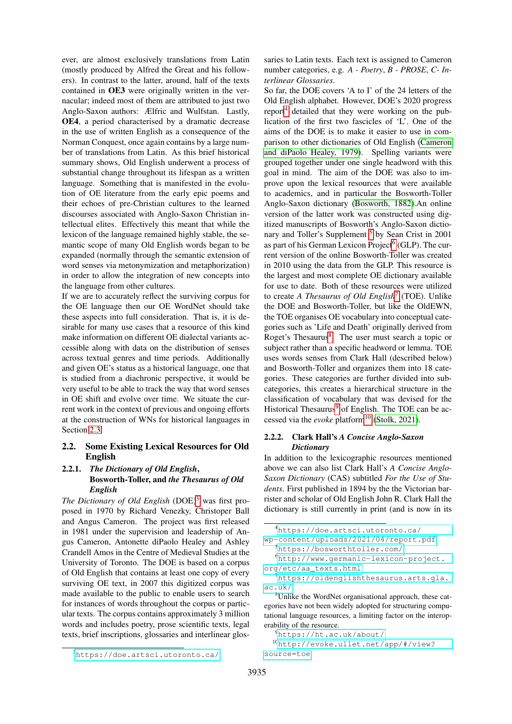ever, are almost exclusively translations from Latin (mostly produced by Alfred the Great and his followers). In contrast to the latter, around, half of the texts contained in OE3 were originally written in the vernacular; indeed most of them are attributed to just two Anglo-Saxon authors: Ælfric and Wulfstan. Lastly, OE4, a period characterised by a dramatic decrease in the use of written English as a consequence of the Norman Conquest, once again contains by a large number of translations from Latin. As this brief historical summary shows, Old English underwent a process of substantial change throughout its lifespan as a written language. Something that is manifested in the evolution of OE literature from the early epic poems and their echoes of pre-Christian cultures to the learned discourses associated with Anglo-Saxon Christian intellectual elites. Effectively this meant that while the lexicon of the language remained highly stable, the semantic scope of many Old English words began to be expanded (normally through the semantic extension of word senses via metonymization and metaphorization) in order to allow the integration of new concepts into the language from other cultures.

If we are to accurately reflect the surviving corpus for the OE language then our OE WordNet should take these aspects into full consideration. That is, it is desirable for many use cases that a resource of this kind make information on different OE dialectal variants accessible along with data on the distribution of senses across textual genres and time periods. Additionally and given OE's status as a historical language, one that is studied from a diachronic perspective, it would be very useful to be able to track the way that word senses in OE shift and evolve over time. We situate the current work in the context of previous and ongoing efforts at the construction of WNs for historical languages in Section [2.3.](#page-2-0)

#### 2.2. Some Existing Lexical Resources for Old English

#### 2.2.1. *The Dictionary of Old English*, Bosworth-Toller, and *the Thesaurus of Old English*

*The Dictionary of Old English* (DOE)<sup>[3](#page-1-0)</sup> was first proposed in 1970 by Richard Venezky, Christoper Ball and Angus Cameron. The project was first released in 1981 under the supervision and leadership of Angus Cameron, Antonette diPaolo Healey and Ashley Crandell Amos in the Centre of Medieval Studies at the University of Toronto. The DOE is based on a corpus of Old English that contains at least one copy of every surviving OE text, in 2007 this digitized corpus was made available to the public to enable users to search for instances of words throughout the corpus or particular texts. The corpus contains approximately 3 million words and includes poetry, prose scientific texts, legal texts, brief inscriptions, glossaries and interlinear glossaries to Latin texts. Each text is assigned to Cameron number categories, e.g. *A - Poetry*, *B - PROSE*, *C- Interlinear Glossaries*.

So far, the DOE covers 'A to I' of the 24 letters of the Old English alphabet. However, DOE's 2020 progress report<sup>[4](#page-1-1)</sup> detailed that they were working on the publication of the first two fascicles of 'L'. One of the aims of the DOE is to make it easier to use in comparison to other dictionaries of Old English [\(Cameron](#page-6-2) [and diPaolo Healey, 1979\)](#page-6-2). Spelling variants were grouped together under one single headword with this goal in mind. The aim of the DOE was also to improve upon the lexical resources that were available to academics, and in particular the Bosworth-Toller Anglo-Saxon dictionary [\(Bosworth, 1882\)](#page-6-3).An online version of the latter work was constructed using digitized manuscripts of Bosworth's Anglo-Saxon dictio-nary and Toller's Supplement <sup>[5](#page-1-2)</sup> by Sean Crist in 2001 as part of his German Lexicon Project<sup>[6](#page-1-3)</sup> (GLP). The current version of the online Bosworth-Toller was created in 2010 using the data from the GLP. This resource is the largest and most complete OE dictionary available for use to date. Both of these resources were utilized to create *A Thesaurus of Old English*[7](#page-1-4) (TOE). Unlike the DOE and Bosworth-Toller, but like the OldEWN, the TOE organises OE vocabulary into conceptual categories such as 'Life and Death' originally derived from Roget's Thesaurus<sup>[8](#page-1-5)</sup>. The user must search a topic or subject rather than a specific headword or lemma. TOE uses words senses from Clark Hall (described below) and Bosworth-Toller and organizes them into 18 categories. These categories are further divided into subcategories, this creates a hierarchical structure in the classification of vocabulary that was devised for the Historical Thesaurus $9$  of English. The TOE can be accessed via the *evoke* platform<sup>[10](#page-1-7)</sup> [\(Stolk, 2021\)](#page-7-0).

#### 2.2.2. Clark Hall's *A Concise Anglo-Saxon Dictionary*

In addition to the lexicographic resources mentioned above we can also list Clark Hall's *A Concise Anglo-Saxon Dictionary* (CAS) subtitled *For the Use of Students*. First published in 1894 by the the Victorian barrister and scholar of Old English John R. Clark Hall the dictionary is still currently in print (and is now in its

<span id="page-1-5"></span><sup>8</sup>Unlike the WordNet organisational approach, these categories have not been widely adopted for structuring computational language resources, a limiting factor on the interoperability of the resource.

```
9https://ht.ac.uk/about/
```
<sup>10</sup>[http://evoke.ullet.net/app/#/view?](http://evoke.ullet.net/app/#/view?source=toe) [source=toe](http://evoke.ullet.net/app/#/view?source=toe)

<span id="page-1-1"></span><sup>4</sup>[https://doe.artsci.utoronto.ca/](https://doe.artsci.utoronto.ca/wp-content/uploads/2021/04/report.pdf)

[wp-content/uploads/2021/04/report.pdf](https://doe.artsci.utoronto.ca/wp-content/uploads/2021/04/report.pdf)

<span id="page-1-3"></span><span id="page-1-2"></span><sup>5</sup><https://bosworthtoller.com/>

<sup>6</sup>[http://www.germanic-lexicon-project.](http://www.germanic-lexicon-project.org/etc/aa_texts.html) [org/etc/aa\\_texts.html](http://www.germanic-lexicon-project.org/etc/aa_texts.html)

<span id="page-1-4"></span><sup>7</sup>[https://oldenglishthesaurus.arts.gla.](https://oldenglishthesaurus.arts.gla.ac.uk/) [ac.uk/](https://oldenglishthesaurus.arts.gla.ac.uk/)

<span id="page-1-0"></span><sup>3</sup><https://doe.artsci.utoronto.ca/>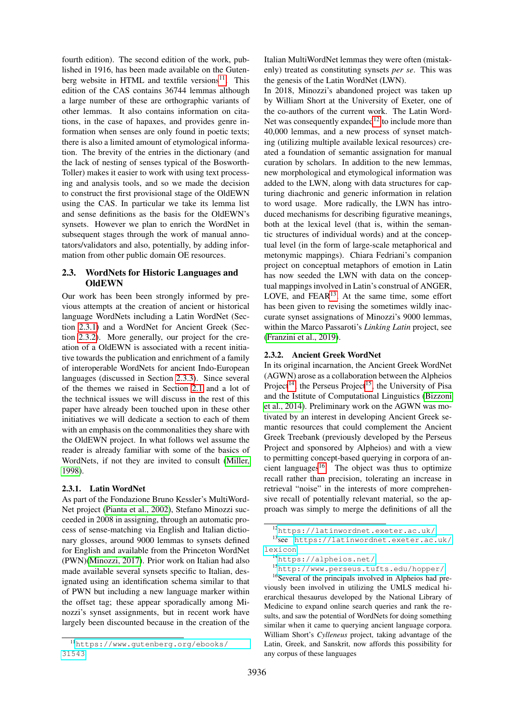fourth edition). The second edition of the work, published in 1916, has been made available on the Gutenberg website in HTML and textfile versions $11$ . This edition of the CAS contains 36744 lemmas although a large number of these are orthographic variants of other lemmas. It also contains information on citations, in the case of hapaxes, and provides genre information when senses are only found in poetic texts; there is also a limited amount of etymological information. The brevity of the entries in the dictionary (and the lack of nesting of senses typical of the Bosworth-Toller) makes it easier to work with using text processing and analysis tools, and so we made the decision to construct the first provisional stage of the OldEWN using the CAS. In particular we take its lemma list and sense definitions as the basis for the OldEWN's synsets. However we plan to enrich the WordNet in subsequent stages through the work of manual annotators/validators and also, potentially, by adding information from other public domain OE resources.

#### <span id="page-2-0"></span>2.3. WordNets for Historic Languages and **OldEWN**

Our work has been been strongly informed by previous attempts at the creation of ancient or historical language WordNets including a Latin WordNet (Section [2.3.1\)](#page-2-2) and a WordNet for Ancient Greek (Section [2.3.2\)](#page-2-3). More generally, our project for the creation of a OldEWN is associated with a recent initiative towards the publication and enrichment of a family of interoperable WordNets for ancient Indo-European languages (discussed in Section [2.3.3\)](#page-3-1). Since several of the themes we raised in Section [2.1](#page-0-1) and a lot of the technical issues we will discuss in the rest of this paper have already been touched upon in these other initiatives we will dedicate a section to each of them with an emphasis on the commonalities they share with the OldEWN project. In what follows wel assume the reader is already familiar with some of the basics of WordNets, if not they are invited to consult [\(Miller,](#page-6-4) [1998\)](#page-6-4).

#### <span id="page-2-2"></span>2.3.1. Latin WordNet

As part of the Fondazione Bruno Kessler's MultiWord-Net project [\(Pianta et al., 2002\)](#page-7-1), Stefano Minozzi succeeded in 2008 in assigning, through an automatic process of sense-matching via English and Italian dictionary glosses, around 9000 lemmas to synsets defined for English and available from the Princeton WordNet (PWN)[\(Minozzi, 2017\)](#page-6-5). Prior work on Italian had also made available several synsets specific to Italian, designated using an identification schema similar to that of PWN but including a new language marker within the offset tag; these appear sporadically among Minozzi's synset assignments, but in recent work have largely been discounted because in the creation of the

Italian MultiWordNet lemmas they were often (mistakenly) treated as constituting synsets *per se*. This was the genesis of the Latin WordNet (LWN).

In 2018, Minozzi's abandoned project was taken up by William Short at the University of Exeter, one of the co-authors of the current work. The Latin Word-Net was consequently expanded<sup>[12](#page-2-4)</sup> to include more than 40,000 lemmas, and a new process of synset matching (utilizing multiple available lexical resources) created a foundation of semantic assignation for manual curation by scholars. In addition to the new lemmas, new morphological and etymological information was added to the LWN, along with data structures for capturing diachronic and generic information in relation to word usage. More radically, the LWN has introduced mechanisms for describing figurative meanings, both at the lexical level (that is, within the semantic structures of individual words) and at the conceptual level (in the form of large-scale metaphorical and metonymic mappings). Chiara Fedriani's companion project on conceptual metaphors of emotion in Latin has now seeded the LWN with data on the conceptual mappings involved in Latin's construal of ANGER, LOVE, and FEAR $13$ . At the same time, some effort has been given to revising the sometimes wildly inaccurate synset assignations of Minozzi's 9000 lemmas, within the Marco Passaroti's *Linking Latin* project, see [\(Franzini et al., 2019\)](#page-6-6).

#### <span id="page-2-3"></span>2.3.2. Ancient Greek WordNet

In its original incarnation, the Ancient Greek WordNet (AGWN) arose as a collaboration between the Alpheios Project<sup>[14](#page-2-6)</sup>, the Perseus Project<sup>[15](#page-2-7)</sup>, the University of Pisa and the Istitute of Computational Linguistics [\(Bizzoni](#page-6-7) [et al., 2014\)](#page-6-7). Preliminary work on the AGWN was motivated by an interest in developing Ancient Greek semantic resources that could complement the Ancient Greek Treebank (previously developed by the Perseus Project and sponsored by Alpheios) and with a view to permitting concept-based querying in corpora of an-cient languages<sup>[16](#page-2-8)</sup>. The object was thus to optimize recall rather than precision, tolerating an increase in retrieval "noise" in the interests of more comprehensive recall of potentially relevant material, so the approach was simply to merge the definitions of all the

<sup>16</sup>Several of the principals involved in Alpheios had previously been involved in utilizing the UMLS medical hierarchical thesaurus developed by the National Library of Medicine to expand online search queries and rank the results, and saw the potential of WordNets for doing something similar when it came to querying ancient language corpora. William Short's *Cylleneus* project, taking advantage of the Latin, Greek, and Sanskrit, now affords this possibility for any corpus of these languages

<span id="page-2-1"></span><sup>11</sup>[https://www.gutenberg.org/ebooks/](https://www.gutenberg.org/ebooks/31543) [31543](https://www.gutenberg.org/ebooks/31543)

<span id="page-2-5"></span><span id="page-2-4"></span><sup>12</sup><https://latinwordnet.exeter.ac.uk/>

<sup>13</sup>see [https://latinwordnet.exeter.ac.uk/](https://latinwordnet.exeter.ac.uk/lexicon) [lexicon](https://latinwordnet.exeter.ac.uk/lexicon)

<span id="page-2-6"></span><sup>14</sup><https://alpheios.net/>

<span id="page-2-8"></span><span id="page-2-7"></span><sup>15</sup><http://www.perseus.tufts.edu/hopper/>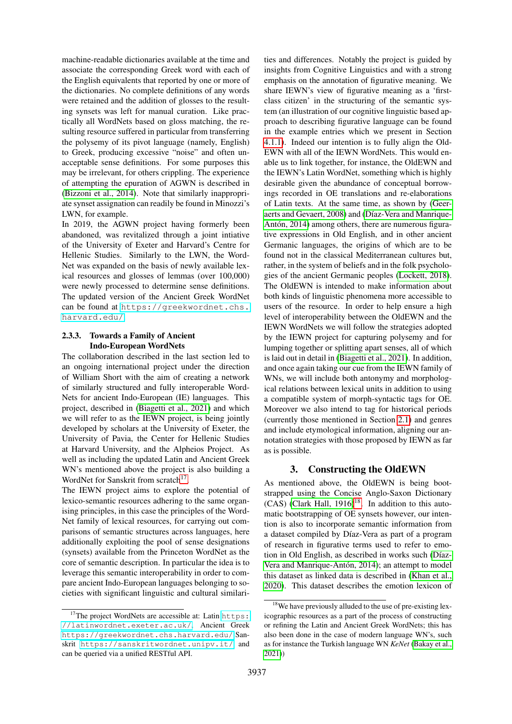machine-readable dictionaries available at the time and associate the corresponding Greek word with each of the English equivalents that reported by one or more of the dictionaries. No complete definitions of any words were retained and the addition of glosses to the resulting synsets was left for manual curation. Like practically all WordNets based on gloss matching, the resulting resource suffered in particular from transferring the polysemy of its pivot language (namely, English) to Greek, producing excessive "noise" and often unacceptable sense definitions. For some purposes this may be irrelevant, for others crippling. The experience of attempting the epuration of AGWN is described in [\(Bizzoni et al., 2014\)](#page-6-7). Note that similarly inappropriate synset assignation can readily be found in Minozzi's LWN, for example.

In 2019, the AGWN project having formerly been abandoned, was revitalized through a joint intiative of the University of Exeter and Harvard's Centre for Hellenic Studies. Similarly to the LWN, the Word-Net was expanded on the basis of newly available lexical resources and glosses of lemmas (over 100,000) were newly processed to determine sense definitions. The updated version of the Ancient Greek WordNet can be found at [https://greekwordnet.chs.](https://greekwordnet.chs.harvard.edu/) [harvard.edu/](https://greekwordnet.chs.harvard.edu/).

#### <span id="page-3-1"></span>2.3.3. Towards a Family of Ancient Indo-European WordNets

The collaboration described in the last section led to an ongoing international project under the direction of William Short with the aim of creating a network of similarly structured and fully interoperable Word-Nets for ancient Indo-European (IE) languages. This project, described in [\(Biagetti et al., 2021\)](#page-6-0) and which we will refer to as the IEWN project, is being jointly developed by scholars at the University of Exeter, the University of Pavia, the Center for Hellenic Studies at Harvard University, and the Alpheios Project. As well as including the updated Latin and Ancient Greek WN's mentioned above the project is also building a WordNet for Sanskrit from scratch<sup>[17](#page-3-2)</sup>.

The IEWN project aims to explore the potential of lexico-semantic resources adhering to the same organising principles, in this case the principles of the Word-Net family of lexical resources, for carrying out comparisons of semantic structures across languages, here additionally exploiting the pool of sense designations (synsets) available from the Princeton WordNet as the core of semantic description. In particular the idea is to leverage this semantic interoperability in order to compare ancient Indo-European languages belonging to societies with significant linguistic and cultural similarities and differences. Notably the project is guided by insights from Cognitive Linguistics and with a strong emphasis on the annotation of figurative meaning. We share IEWN's view of figurative meaning as a 'firstclass citizen' in the structuring of the semantic system (an illustration of our cognitive linguistic based approach to describing figurative language can be found in the example entries which we present in Section [4.1.1\)](#page-5-1). Indeed our intention is to fully align the Old-EWN with all of the IEWN WordNets. This would enable us to link together, for instance, the OldEWN and the IEWN's Latin WordNet, something which is highly desirable given the abundance of conceptual borrowings recorded in OE translations and re-elaborations of Latin texts. At the same time, as shown by [\(Geer](#page-6-8)[aerts and Gevaert, 2008\)](#page-6-8) and (Díaz-Vera and Manrique-Antón,  $2014$ ) among others, there are numerous figurative expressions in Old English, and in other ancient Germanic languages, the origins of which are to be found not in the classical Mediterranean cultures but, rather, in the system of beliefs and in the folk psychologies of the ancient Germanic peoples [\(Lockett, 2018\)](#page-6-10). The OldEWN is intended to make information about both kinds of linguistic phenomena more accessible to users of the resource. In order to help ensure a high level of interoperability between the OldEWN and the IEWN WordNets we will follow the strategies adopted by the IEWN project for capturing polysemy and for lumping together or splitting apart senses, all of which is laid out in detail in [\(Biagetti et al., 2021\)](#page-6-0). In addition, and once again taking our cue from the IEWN family of WNs, we will include both antonymy and morphological relations between lexical units in addition to using a compatible system of morph-syntactic tags for OE. Moreover we also intend to tag for historical periods (currently those mentioned in Section [2.1\)](#page-0-1) and genres and include etymological information, aligning our annotation strategies with those proposed by IEWN as far as is possible.

## 3. Constructing the OldEWN

<span id="page-3-0"></span>As mentioned above, the OldEWN is being bootstrapped using the Concise Anglo-Saxon Dictionary  $(CAS)$  [\(Clark Hall, 1916\)](#page-6-11)<sup>[18](#page-3-3)</sup>. In addition to this automatic bootstrapping of OE synsets however, our intention is also to incorporate semantic information from a dataset compiled by Díaz-Vera as part of a program of research in figurative terms used to refer to emotion in Old English, as described in works such (Díaz-Vera and Manrique-Antón, 2014); an attempt to model this dataset as linked data is described in [\(Khan et al.,](#page-6-12) [2020\)](#page-6-12). This dataset describes the emotion lexicon of

<span id="page-3-2"></span><sup>&</sup>lt;sup>17</sup>The project WordNets are accessible at: Latin [https:](https://latinwordnet.exeter.ac.uk/) [//latinwordnet.exeter.ac.uk/](https://latinwordnet.exeter.ac.uk/), Ancient Greek <https://greekwordnet.chs.harvard.edu/> Sanskrit <https://sanskritwordnet.unipv.it/> and can be queried via a unified RESTful API.

<span id="page-3-3"></span><sup>&</sup>lt;sup>18</sup>We have previously alluded to the use of pre-existing lexicographic resources as a part of the process of constructing or refining the Latin and Ancient Greek WordNets; this has also been done in the case of modern language WN's, such as for instance the Turkish language WN *KeNet* [\(Bakay et al.,](#page-6-13) [2021\)](#page-6-13))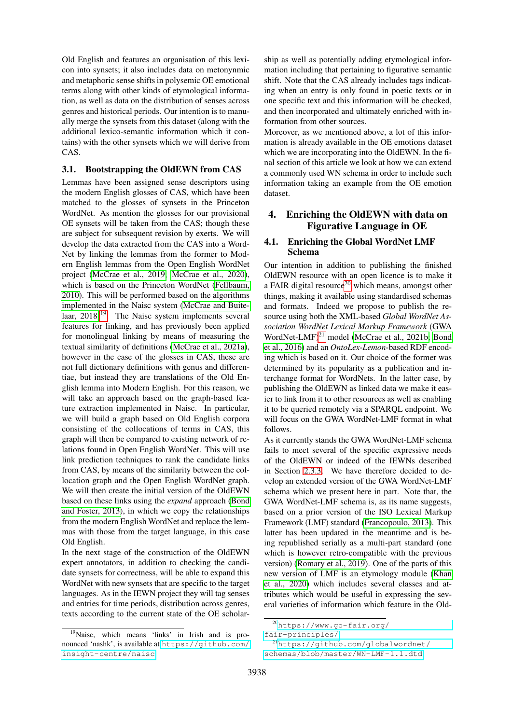Old English and features an organisation of this lexicon into synsets; it also includes data on metonynmic and metaphoric sense shifts in polysemic OE emotional terms along with other kinds of etymological information, as well as data on the distribution of senses across genres and historical periods. Our intention is to manually merge the synsets from this dataset (along with the additional lexico-semantic information which it contains) with the other synsets which we will derive from CAS.

#### 3.1. Bootstrapping the OldEWN from CAS

Lemmas have been assigned sense descriptors using the modern English glosses of CAS, which have been matched to the glosses of synsets in the Princeton WordNet. As mention the glosses for our provisional OE synsets will be taken from the CAS; though these are subject for subsequent revision by exerts. We will develop the data extracted from the CAS into a Word-Net by linking the lemmas from the former to Modern English lemmas from the Open English WordNet project [\(McCrae et al., 2019;](#page-6-14) [McCrae et al., 2020\)](#page-6-15), which is based on the Princeton WordNet [\(Fellbaum,](#page-6-16) [2010\)](#page-6-16). This will be performed based on the algorithms implemented in the Naisc system [\(McCrae and Buite](#page-6-17)laar,  $2018$ <sup>[19](#page-4-1)</sup>. The Naisc system implements several features for linking, and has previously been applied for monolingual linking by means of measuring the textual similarity of definitions [\(McCrae et al., 2021a\)](#page-6-18), however in the case of the glosses in CAS, these are not full dictionary definitions with genus and differentiae, but instead they are translations of the Old English lemma into Modern English. For this reason, we will take an approach based on the graph-based feature extraction implemented in Naisc. In particular, we will build a graph based on Old English corpora consisting of the collocations of terms in CAS, this graph will then be compared to existing network of relations found in Open English WordNet. This will use link prediction techniques to rank the candidate links from CAS, by means of the similarity between the collocation graph and the Open English WordNet graph. We will then create the initial version of the OldEWN based on these links using the *expand* approach [\(Bond](#page-6-19) [and Foster, 2013\)](#page-6-19), in which we copy the relationships from the modern English WordNet and replace the lemmas with those from the target language, in this case Old English.

In the next stage of the construction of the OldEWN expert annotators, in addition to checking the candidate synsets for correctness, will be able to expand this WordNet with new synsets that are specific to the target languages. As in the IEWN project they will tag senses and entries for time periods, distribution across genres, texts according to the current state of the OE scholar-

ship as well as potentially adding etymological information including that pertaining to figurative semantic shift. Note that the CAS already includes tags indicating when an entry is only found in poetic texts or in one specific text and this information will be checked, and then incorporated and ultimately enriched with information from other sources.

Moreover, as we mentioned above, a lot of this information is already available in the OE emotions dataset which we are incorporating into the OldEWN. In the final section of this article we look at how we can extend a commonly used WN schema in order to include such information taking an example from the OE emotion dataset.

## 4. Enriching the OldEWN with data on Figurative Language in OE

### <span id="page-4-0"></span>4.1. Enriching the Global WordNet LMF Schema

Our intention in addition to publishing the finished OldEWN resource with an open licence is to make it a FAIR digital resource<sup>[20](#page-4-2)</sup> which means, amongst other things, making it available using standardised schemas and formats. Indeed we propose to publish the resource using both the XML-based *Global WordNet Association WordNet Lexical Markup Framework* (GWA WordNet-LMF)<sup>[21](#page-4-3)</sup> model [\(McCrae et al., 2021b;](#page-6-20) [Bond](#page-6-21) [et al., 2016\)](#page-6-21) and an *OntoLex-Lemon*-based RDF encoding which is based on it. Our choice of the former was determined by its popularity as a publication and interchange format for WordNets. In the latter case, by publishing the OldEWN as linked data we make it easier to link from it to other resources as well as enabling it to be queried remotely via a SPARQL endpoint. We will focus on the GWA WordNet-LMF format in what follows.

As it currently stands the GWA WordNet-LMF schema fails to meet several of the specific expressive needs of the OldEWN or indeed of the IEWNs described in Section [2.3.3.](#page-3-1) We have therefore decided to develop an extended version of the GWA WordNet-LMF schema which we present here in part. Note that, the GWA WordNet-LMF schema is, as its name suggests, based on a prior version of the ISO Lexical Markup Framework (LMF) standard [\(Francopoulo, 2013\)](#page-6-22). This latter has been updated in the meantime and is being republished serially as a multi-part standard (one which is however retro-compatible with the previous version) [\(Romary et al., 2019\)](#page-7-2). One of the parts of this new version of LMF is an etymology module [\(Khan](#page-6-12) [et al., 2020\)](#page-6-12) which includes several classes and attributes which would be useful in expressing the several varieties of information which feature in the Old-

<span id="page-4-1"></span><sup>19</sup>Naisc, which means 'links' in Irish and is pronounced 'nashk', is available at [https://github.com/](https://github.com/insight-centre/naisc) [insight-centre/naisc](https://github.com/insight-centre/naisc)

<span id="page-4-2"></span><sup>20</sup>[https://www.go-fair.org/](https://www.go-fair.org/fair-principles/)

[fair-principles/](https://www.go-fair.org/fair-principles/)

<span id="page-4-3"></span><sup>21</sup>[https://github.com/globalwordnet/](https://github.com/globalwordnet/schemas/blob/master/WN-LMF-1.1.dtd) [schemas/blob/master/WN-LMF-1.1.dtd](https://github.com/globalwordnet/schemas/blob/master/WN-LMF-1.1.dtd)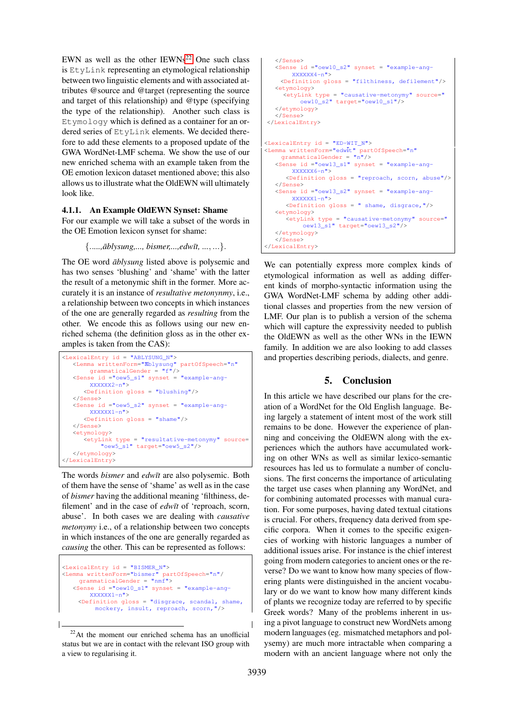EWN as well as the other  $IEWNs^{22}$  $IEWNs^{22}$  $IEWNs^{22}$  One such class is EtyLink representing an etymological relationship between two linguistic elements and with associated attributes @source and @target (representing the source and target of this relationship) and @type (specifying the type of the relationship). Another such class is Etymology which is defined as a container for an ordered series of EtyLink elements. We decided therefore to add these elements to a proposed update of the GWA WordNet-LMF schema. We show the use of our new enriched schema with an example taken from the OE emotion lexicon dataset mentioned above; this also allows us to illustrate what the OldEWN will ultimately look like.

#### <span id="page-5-1"></span>4.1.1. An Example OldEWN Synset: Shame

For our example we will take a subset of the words in the OE Emotion lexicon synset for shame:

{.....,*āblysung,..., bismer,...,edwīt, ..., ...*}.

The OE word  $\bar{a}$ blysung listed above is polysemic and has two senses 'blushing' and 'shame' with the latter the result of a metonymic shift in the former. More accurately it is an instance of *resultative metonynmy*, i.e., a relationship between two concepts in which instances of the one are generally regarded as *resulting* from the other. We encode this as follows using our new enriched schema (the definition gloss as in the other examples is taken from the CAS):

```
<LexicalEntry id = "ABLYSUNG_N">
   <Lemma writtenForm="ablysung" partOfSpeech="n"
       qrammaticalGender = "f"/>
   <Sense id ="oew5_s1" synset = "example-ang-
       XXXXXX2-n"<Definition gloss = "blushing"/>
   </Sense>
  <Sense id ="oew5_s2" synset = "example-ang-
       XXXXXX1-n"<Definition gloss = "shame"/>
  </Sense>
   <etymology>
      <etyLink type = "resultative-metonymy" source=
          "oew5_s1" target="oew5_s2"/>
   </etymology>
</LexicalEntry>
```
The words *bismer* and *edwit* are also polysemic. Both of them have the sense of 'shame' as well as in the case of *bismer* having the additional meaning 'filthiness, defilement' and in the case of *edw* $\bar{t}$  of 'reproach, scorn, abuse'. In both cases we are dealing with *causative metonymy* i.e., of a relationship between two concepts in which instances of the one are generally regarded as *causing* the other. This can be represented as follows:

```
<LexicalEntry id = "BISMER_N">
<Lemma writtenForm="bismer" partOfSpeech="n"/
grammaticalGender = "nmf">
   <Sense id ="oew10_s1" synset = "example-ang-
        XXXXXX1-n">
     <Definition gloss = "disgrace, scandal, shame,
         mockery, insult, reproach, scorn,"/>
```

```
</Sense>
   <Sense id ="oew10_s2" synset = "example-ang-
        YYYYYYA-n"<Definition gloss = "filthiness, defilement"/>
   <etymology>
     <etyLink type = "causative-metonymy" source="
           oew10<sup>s2"</sup> target="oew10 s1"/>
   </etymology>
   </Sense>
</LexicalEntry>
<LexicalEntry id = "ED-WIT_N">
<Lemma writtenForm="edwit" partOfSpeech="n"
grammaticalGender = "n"/>
   <Sense id ="oew13_s1" synset = "example-ang-
        XXXXXX6-n">
      <Definition gloss = "reproach, scorn, abuse"/>
   </Sense>
   <Sense id ="oew13_s2" synset = "example-ang-
        XXXXXX1-n">
      <Definition gloss = " shame, disgrace,"/>
   <etymology>
      <etyLink type = "causative-metonymy" source="
oew13_s1" target="oew13_s2"/>
   </etymology>
   </Sense>
</LexicalEntry>
```
We can potentially express more complex kinds of etymological information as well as adding different kinds of morpho-syntactic information using the GWA WordNet-LMF schema by adding other additional classes and properties from the new version of LMF. Our plan is to publish a version of the schema which will capture the expressivity needed to publish the OldEWN as well as the other WNs in the IEWN family. In addition we are also looking to add classes and properties describing periods, dialects, and genre.

#### 5. Conclusion

<span id="page-5-0"></span>In this article we have described our plans for the creation of a WordNet for the Old English language. Being largely a statement of intent most of the work still remains to be done. However the experience of planning and conceiving the OldEWN along with the experiences which the authors have accumulated working on other WNs as well as similar lexico-semantic resources has led us to formulate a number of conclusions. The first concerns the importance of articulating the target use cases when planning any WordNet, and for combining automated processes with manual curation. For some purposes, having dated textual citations is crucial. For others, frequency data derived from specific corpora. When it comes to the specific exigencies of working with historic languages a number of additional issues arise. For instance is the chief interest going from modern categories to ancient ones or the reverse? Do we want to know how many species of flowering plants were distinguished in the ancient vocabulary or do we want to know how many different kinds of plants we recognize today are referred to by specific Greek words? Many of the problems inherent in using a pivot language to construct new WordNets among modern languages (eg. mismatched metaphors and polysemy) are much more intractable when comparing a modern with an ancient language where not only the

<span id="page-5-2"></span><sup>22</sup>At the moment our enriched schema has an unofficial status but we are in contact with the relevant ISO group with a view to regularising it.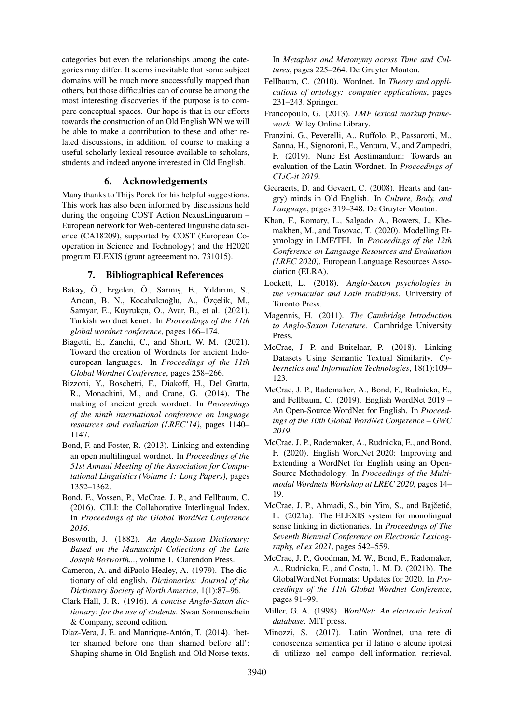categories but even the relationships among the categories may differ. It seems inevitable that some subject domains will be much more successfully mapped than others, but those difficulties can of course be among the most interesting discoveries if the purpose is to compare conceptual spaces. Our hope is that in our efforts towards the construction of an Old English WN we will be able to make a contribution to these and other related discussions, in addition, of course to making a useful scholarly lexical resource available to scholars, students and indeed anyone interested in Old English.

#### 6. Acknowledgements

Many thanks to Thijs Porck for his helpful suggestions. This work has also been informed by discussions held during the ongoing COST Action NexusLinguarum – European network for Web-centered linguistic data science (CA18209), supported by COST (European Cooperation in Science and Technology) and the H2020 program ELEXIS (grant agreeement no. 731015).

#### 7. Bibliographical References

- <span id="page-6-13"></span>Bakay, Ö., Ergelen, Ö., Sarmış, E., Yıldırım, S., Arıcan, B. N., Kocabalcıoğlu, A., Özçelik, M., Sanıyar, E., Kuyrukçu, O., Avar, B., et al. (2021). Turkish wordnet kenet. In *Proceedings of the 11th global wordnet conference*, pages 166–174.
- <span id="page-6-0"></span>Biagetti, E., Zanchi, C., and Short, W. M. (2021). Toward the creation of Wordnets for ancient Indoeuropean languages. In *Proceedings of the 11th Global Wordnet Conference*, pages 258–266.
- <span id="page-6-7"></span>Bizzoni, Y., Boschetti, F., Diakoff, H., Del Gratta, R., Monachini, M., and Crane, G. (2014). The making of ancient greek wordnet. In *Proceedings of the ninth international conference on language resources and evaluation (LREC'14)*, pages 1140– 1147.
- <span id="page-6-19"></span>Bond, F. and Foster, R. (2013). Linking and extending an open multilingual wordnet. In *Proceedings of the 51st Annual Meeting of the Association for Computational Linguistics (Volume 1: Long Papers)*, pages 1352–1362.
- <span id="page-6-21"></span>Bond, F., Vossen, P., McCrae, J. P., and Fellbaum, C. (2016). CILI: the Collaborative Interlingual Index. In *Proceedings of the Global WordNet Conference 2016*.
- <span id="page-6-3"></span>Bosworth, J. (1882). *An Anglo-Saxon Dictionary: Based on the Manuscript Collections of the Late Joseph Bosworth...*, volume 1. Clarendon Press.
- <span id="page-6-2"></span>Cameron, A. and diPaolo Healey, A. (1979). The dictionary of old english. *Dictionaries: Journal of the Dictionary Society of North America*, 1(1):87–96.
- <span id="page-6-11"></span>Clark Hall, J. R. (1916). *A concise Anglo-Saxon dictionary: for the use of students*. Swan Sonnenschein & Company, second edition.
- <span id="page-6-9"></span>Díaz-Vera, J. E. and Manrique-Antón, T. (2014). 'better shamed before one than shamed before all': Shaping shame in Old English and Old Norse texts.

In *Metaphor and Metonymy across Time and Cultures*, pages 225–264. De Gruyter Mouton.

- <span id="page-6-16"></span>Fellbaum, C. (2010). Wordnet. In *Theory and applications of ontology: computer applications*, pages 231–243. Springer.
- <span id="page-6-22"></span>Francopoulo, G. (2013). *LMF lexical markup framework*. Wiley Online Library.
- <span id="page-6-6"></span>Franzini, G., Peverelli, A., Ruffolo, P., Passarotti, M., Sanna, H., Signoroni, E., Ventura, V., and Zampedri, F. (2019). Nunc Est Aestimandum: Towards an evaluation of the Latin Wordnet. In *Proceedings of CLiC-it 2019*.
- <span id="page-6-8"></span>Geeraerts, D. and Gevaert, C. (2008). Hearts and (angry) minds in Old English. In *Culture, Body, and Language*, pages 319–348. De Gruyter Mouton.
- <span id="page-6-12"></span>Khan, F., Romary, L., Salgado, A., Bowers, J., Khemakhen, M., and Tasovac, T. (2020). Modelling Etymology in LMF/TEI. In *Proceedings of the 12th Conference on Language Resources and Evaluation (LREC 2020)*. European Language Resources Association (ELRA).
- <span id="page-6-10"></span>Lockett, L. (2018). *Anglo-Saxon psychologies in the vernacular and Latin traditions*. University of Toronto Press.
- <span id="page-6-1"></span>Magennis, H. (2011). *The Cambridge Introduction to Anglo-Saxon Literature*. Cambridge University Press.
- <span id="page-6-17"></span>McCrae, J. P. and Buitelaar, P. (2018). Linking Datasets Using Semantic Textual Similarity. *Cybernetics and Information Technologies*, 18(1):109– 123.
- <span id="page-6-14"></span>McCrae, J. P., Rademaker, A., Bond, F., Rudnicka, E., and Fellbaum, C. (2019). English WordNet 2019 – An Open-Source WordNet for English. In *Proceedings of the 10th Global WordNet Conference – GWC 2019*.
- <span id="page-6-15"></span>McCrae, J. P., Rademaker, A., Rudnicka, E., and Bond, F. (2020). English WordNet 2020: Improving and Extending a WordNet for English using an Open-Source Methodology. In *Proceedings of the Multimodal Wordnets Workshop at LREC 2020*, pages 14– 19.
- <span id="page-6-18"></span>McCrae, J. P., Ahmadi, S., bin Yim, S., and Bajčetić, L. (2021a). The ELEXIS system for monolingual sense linking in dictionaries. In *Proceedings of The Seventh Biennial Conference on Electronic Lexicography, eLex 2021*, pages 542–559.
- <span id="page-6-20"></span>McCrae, J. P., Goodman, M. W., Bond, F., Rademaker, A., Rudnicka, E., and Costa, L. M. D. (2021b). The GlobalWordNet Formats: Updates for 2020. In *Proceedings of the 11th Global Wordnet Conference*, pages 91–99.
- <span id="page-6-4"></span>Miller, G. A. (1998). *WordNet: An electronic lexical database*. MIT press.
- <span id="page-6-5"></span>Minozzi, S. (2017). Latin Wordnet, una rete di conoscenza semantica per il latino e alcune ipotesi di utilizzo nel campo dell'information retrieval.